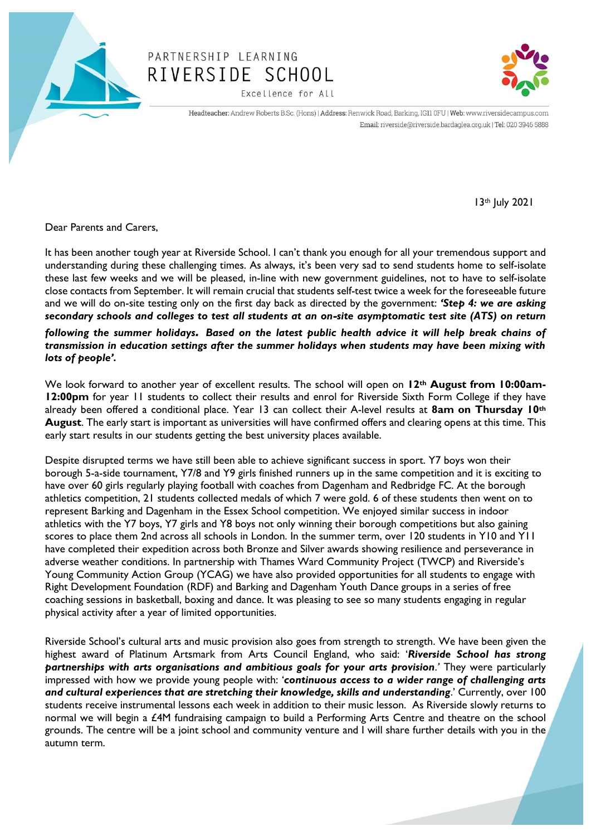

## PARTNERSHIP LEARNING RIVERSIDE SCHOOL Excellence for All



Headteacher: Andrew Roberts B.Sc. (Hons) | Address: Renwick Road, Barking, IG11 0FU | Web: www.riversidecampus.com Email: riverside@riverside.bardaglea.org.uk | Tel: 020 3946 5888

13th July 2021

Dear Parents and Carers,

It has been another tough year at Riverside School. I can't thank you enough for all your tremendous support and understanding during these challenging times. As always, it's been very sad to send students home to self-isolate these last few weeks and we will be pleased, in-line with new government guidelines, not to have to self-isolate close contacts from September. It will remain crucial that students self-test twice a week for the foreseeable future and we will do on-site testing only on the first day back as directed by the government: *'Step 4: we are asking secondary schools and colleges to test all students at an on-site asymptomatic test site (ATS) on return following the summer holidays. Based on the latest public health advice it will help break chains of transmission in education settings after the summer holidays when students may have been mixing with lots of people'.*

We look forward to another year of excellent results. The school will open on **12th August from 10:00am-12:00pm** for year 11 students to collect their results and enrol for Riverside Sixth Form College if they have already been offered a conditional place. Year 13 can collect their A-level results at **8am on Thursday 10th August**. The early start is important as universities will have confirmed offers and clearing opens at this time. This early start results in our students getting the best university places available.

Despite disrupted terms we have still been able to achieve significant success in sport. Y7 boys won their borough 5-a-side tournament, Y7/8 and Y9 girls finished runners up in the same competition and it is exciting to have over 60 girls regularly playing football with coaches from Dagenham and Redbridge FC. At the borough athletics competition, 21 students collected medals of which 7 were gold. 6 of these students then went on to represent Barking and Dagenham in the Essex School competition. We enjoyed similar success in indoor athletics with the Y7 boys, Y7 girls and Y8 boys not only winning their borough competitions but also gaining scores to place them 2nd across all schools in London. In the summer term, over 120 students in Y10 and Y11 have completed their expedition across both Bronze and Silver awards showing resilience and perseverance in adverse weather conditions. In partnership with Thames Ward Community Project (TWCP) and Riverside's Young Community Action Group (YCAG) we have also provided opportunities for all students to engage with Right Development Foundation (RDF) and Barking and Dagenham Youth Dance groups in a series of free coaching sessions in basketball, boxing and dance. It was pleasing to see so many students engaging in regular physical activity after a year of limited opportunities.

Riverside School's cultural arts and music provision also goes from strength to strength. We have been given the highest award of Platinum Artsmark from Arts Council England, who said: '*Riverside School has strong partnerships with arts organisations and ambitious goals for your arts provision.'* They were particularly impressed with how we provide young people with: '*continuous access to a wider range of challenging arts and cultural experiences that are stretching their knowledge, skills and understanding*.' Currently, over 100 students receive instrumental lessons each week in addition to their music lesson. As Riverside slowly returns to normal we will begin a £4M fundraising campaign to build a Performing Arts Centre and theatre on the school grounds. The centre will be a joint school and community venture and I will share further details with you in the autumn term.